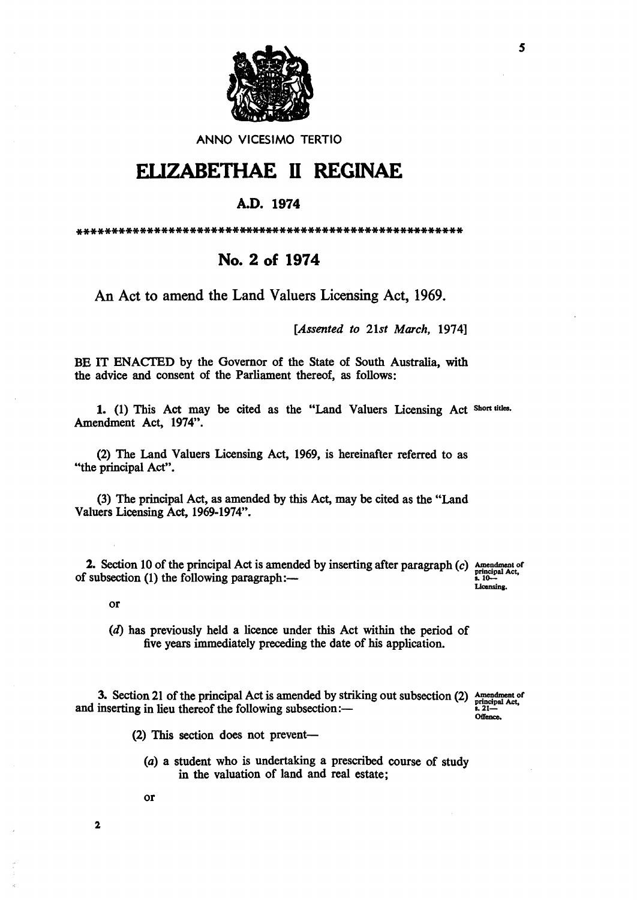

ANNO VICESIMO TERTIO

## ELIZABETHAE II REGINAE

## A.D. 1974

## No. 2 of 1974

An Act to amend the Land Valuers Licensing Act, 1969.

[Assented to 21st March, 1974]

BE IT ENACTED by the Governor of the State of South Australia, with the advice and consent of the Parliament thereof, as follows:

1. (1) This Act may be cited as the "Land Valuers Licensing Act Short titles. Amendment Act, 1974".

(2) The Land Valuers Licensing Act, 1969, is hereinafter referred to as "the principal Act".

(3) The principal Act, as amended by this Act, may be cited as the "Land Valuers Licensing Act, 1969-1974".

2. Section 10 of the principal Act is amended by inserting after paragraph  $(c)$  Amendment of principal Act, of subsection (1) the following paragraph:-

Licensing.

 $\overline{or}$ 

3. Section 21 of the principal Act is amended by striking out subsection (2) and inserting in lieu thereof the following subsection:-

Amendment of<br>principal Act,<br>s. 21-Offence.

(2) This section does not prevent-

- (a) a student who is undertaking a prescribed course of study in the valuation of land and real estate;
- 

 $\bf 2$ 

**or** 

<sup>(</sup>d) has previously held a licence under this Act within the period of five years immediately preceding the date of his application.